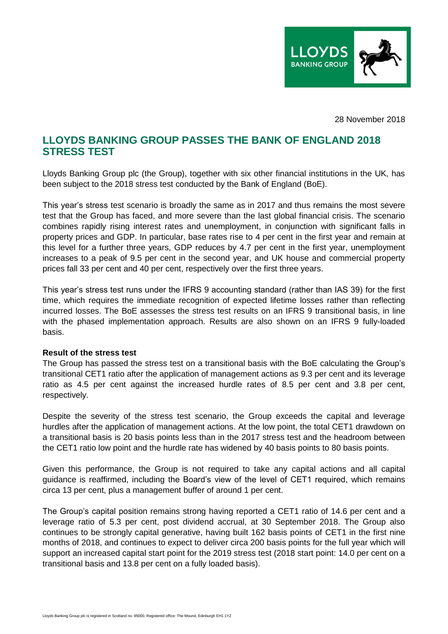

28 November 2018

# **LLOYDS BANKING GROUP PASSES THE BANK OF ENGLAND 2018 STRESS TEST**

Lloyds Banking Group plc (the Group), together with six other financial institutions in the UK, has been subject to the 2018 stress test conducted by the Bank of England (BoE).

This year's stress test scenario is broadly the same as in 2017 and thus remains the most severe test that the Group has faced, and more severe than the last global financial crisis. The scenario combines rapidly rising interest rates and unemployment, in conjunction with significant falls in property prices and GDP. In particular, base rates rise to 4 per cent in the first year and remain at this level for a further three years, GDP reduces by 4.7 per cent in the first year, unemployment increases to a peak of 9.5 per cent in the second year, and UK house and commercial property prices fall 33 per cent and 40 per cent, respectively over the first three years.

This year's stress test runs under the IFRS 9 accounting standard (rather than IAS 39) for the first time, which requires the immediate recognition of expected lifetime losses rather than reflecting incurred losses. The BoE assesses the stress test results on an IFRS 9 transitional basis, in line with the phased implementation approach. Results are also shown on an IFRS 9 fully-loaded basis.

## **Result of the stress test**

The Group has passed the stress test on a transitional basis with the BoE calculating the Group's transitional CET1 ratio after the application of management actions as 9.3 per cent and its leverage ratio as 4.5 per cent against the increased hurdle rates of 8.5 per cent and 3.8 per cent, respectively.

Despite the severity of the stress test scenario, the Group exceeds the capital and leverage hurdles after the application of management actions. At the low point, the total CET1 drawdown on a transitional basis is 20 basis points less than in the 2017 stress test and the headroom between the CET1 ratio low point and the hurdle rate has widened by 40 basis points to 80 basis points.

Given this performance, the Group is not required to take any capital actions and all capital guidance is reaffirmed, including the Board's view of the level of CET1 required, which remains circa 13 per cent, plus a management buffer of around 1 per cent.

The Group's capital position remains strong having reported a CET1 ratio of 14.6 per cent and a leverage ratio of 5.3 per cent, post dividend accrual, at 30 September 2018. The Group also continues to be strongly capital generative, having built 162 basis points of CET1 in the first nine months of 2018, and continues to expect to deliver circa 200 basis points for the full year which will support an increased capital start point for the 2019 stress test (2018 start point: 14.0 per cent on a transitional basis and 13.8 per cent on a fully loaded basis).